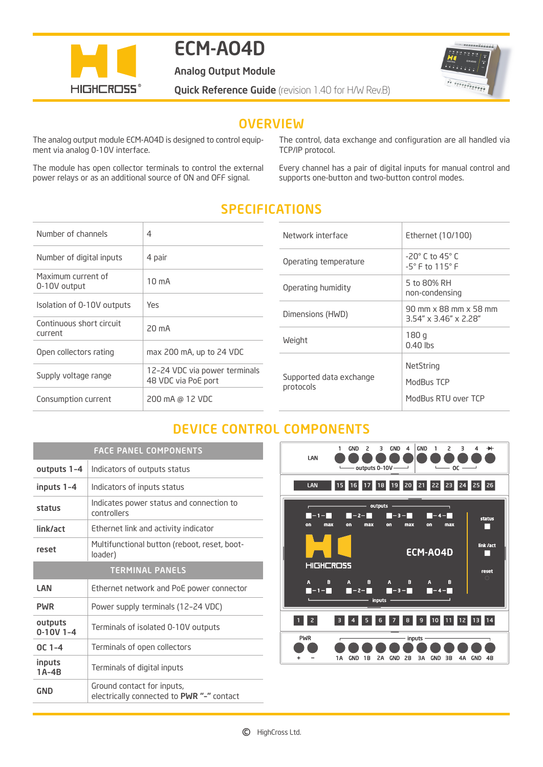

# ECM-AO4D

Analog Output Module

 $100000000000111$ n ra sa n mariana

**Quick Reference Guide** (revision 1.40 for H/W Rev.B)

### **OVERVIEW**

The analog output module ECM-AO4D is designed to control equipment via analog 0-10V interface.

The module has open collector terminals to control the external power relays or as an additional source of ON and OFF signal.

The control, data exchange and configuration are all handled via TCP/IP protocol.

Every channel has a pair of digital inputs for manual control and supports one-button and two-button control modes.

## SPECIFICATIONS

| Number of channels                  | 4                                                    |
|-------------------------------------|------------------------------------------------------|
| Number of digital inputs            | 4 pair                                               |
| Maximum current of<br>0-10V output  | $10 \text{ mA}$                                      |
| Isolation of 0-10V outputs          | Yes                                                  |
| Continuous short circuit<br>current | 20 mA                                                |
| Open collectors rating              | max 200 mA, up to 24 VDC                             |
| Supply voltage range                | 12-24 VDC via power terminals<br>48 VDC via PoE port |
| Consumption current                 | 200 mA @ 12 VDC                                      |

| Ethernet (10/100)                                                   |  |
|---------------------------------------------------------------------|--|
|                                                                     |  |
| $-20^\circ$ C to 45 $^\circ$ C<br>$-5^{\circ}$ F to $115^{\circ}$ F |  |
| 5 to 80% RH<br>non-condensing                                       |  |
| 90 mm x 88 mm x 58 mm<br>$3.54'' \times 3.46'' \times 2.28''$       |  |
| 180q<br>$0.40$ lbs                                                  |  |
| NetString<br>ModBus TCP<br>ModBus RTU over TCP                      |  |
|                                                                     |  |

### DEVICE CONTROL COMPONENTS

| <b>FACE PANEL COMPONENTS</b> |                                                                         |  |
|------------------------------|-------------------------------------------------------------------------|--|
| outputs 1-4                  | Indicators of outputs status                                            |  |
| inputs 1-4                   | Indicators of inputs status                                             |  |
| status                       | Indicates power status and connection to<br>controllers                 |  |
| link/act                     | Ethernet link and activity indicator                                    |  |
| reset                        | Multifunctional button (reboot, reset, boot-<br>loader)                 |  |
| <b>TERMINAL PANELS</b>       |                                                                         |  |
| LAN                          | Ethernet network and PoE power connector                                |  |
| <b>PWR</b>                   | Power supply terminals (12-24 VDC)                                      |  |
| outputs<br>$0-10V$ 1-4       | Terminals of isolated 0-10V outputs                                     |  |
| $OC 1 - 4$                   | Terminals of open collectors                                            |  |
| inputs<br>$1A-4B$            | Terminals of digital inputs                                             |  |
| GND                          | Ground contact for inputs,<br>electrically connected to PWR "-" contact |  |